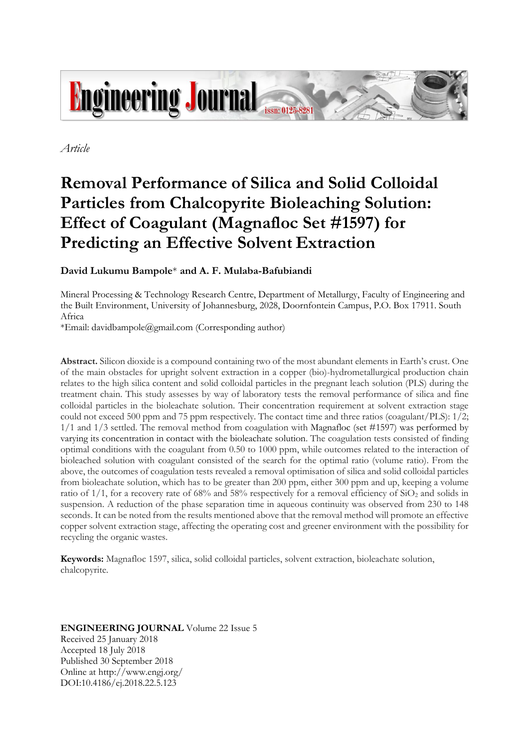

*Article*

# **Removal Performance of Silica and Solid Colloidal Particles from Chalcopyrite Bioleaching Solution: Effect of Coagulant (Magnafloc Set #1597) for Predicting an Effective Solvent Extraction**

# **David Lukumu Bampole**\* **and A. F. Mulaba-Bafubiandi**

Mineral Processing & Technology Research Centre, Department of Metallurgy, Faculty of Engineering and the Built Environment, University of Johannesburg, 2028, Doornfontein Campus, P.O. Box 17911. South Africa

\*Email: davidbampole@gmail.com (Corresponding author)

**Abstract.** Silicon dioxide is a compound containing two of the most abundant elements in Earth's crust. One of the main obstacles for upright solvent extraction in a copper (bio)-hydrometallurgical production chain relates to the high silica content and solid colloidal particles in the pregnant leach solution (PLS) during the treatment chain. This study assesses by way of laboratory tests the removal performance of silica and fine colloidal particles in the bioleachate solution. Their concentration requirement at solvent extraction stage could not exceed 500 ppm and 75 ppm respectively. The contact time and three ratios (coagulant/PLS): 1/2; 1/1 and 1/3 settled. The removal method from coagulation with Magnafloc (set #1597) was performed by varying its concentration in contact with the bioleachate solution. The coagulation tests consisted of finding optimal conditions with the coagulant from 0.50 to 1000 ppm, while outcomes related to the interaction of bioleached solution with coagulant consisted of the search for the optimal ratio (volume ratio). From the above, the outcomes of coagulation tests revealed a removal optimisation of silica and solid colloidal particles from bioleachate solution, which has to be greater than 200 ppm, either 300 ppm and up, keeping a volume ratio of  $1/1$ , for a recovery rate of 68% and 58% respectively for a removal efficiency of  $SiO<sub>2</sub>$  and solids in suspension. A reduction of the phase separation time in aqueous continuity was observed from 230 to 148 seconds. It can be noted from the results mentioned above that the removal method will promote an effective copper solvent extraction stage, affecting the operating cost and greener environment with the possibility for recycling the organic wastes.

**Keywords:** Magnafloc 1597, silica, solid colloidal particles, solvent extraction, bioleachate solution, chalcopyrite.

# **ENGINEERING JOURNAL** Volume 22 Issue 5 Received 25 January 2018 Accepted 18 July 2018 Published 30 September 2018 Online at http://www.engj.org/ DOI:10.4186/ej.2018.22.5.123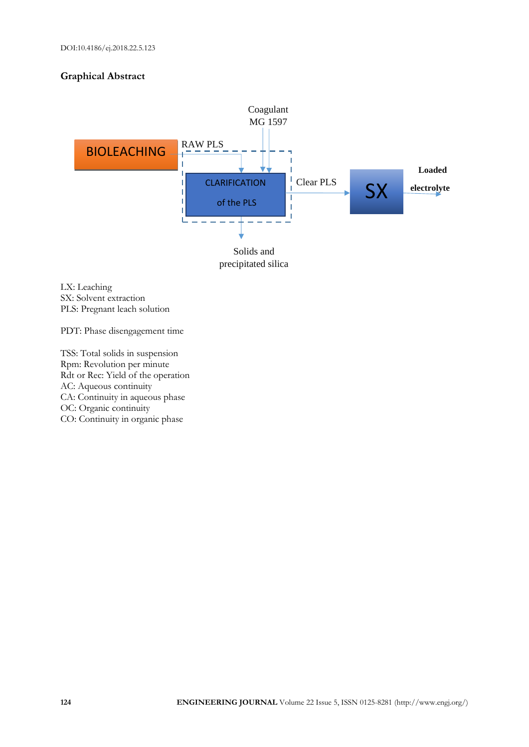# **Graphical Abstract**



LX: Leaching SX: Solvent extraction PLS: Pregnant leach solution

PDT: Phase disengagement time

TSS: Total solids in suspension Rpm: Revolution per minute Rdt or Rec: Yield of the operation AC: Aqueous continuity CA: Continuity in aqueous phase OC: Organic continuity CO: Continuity in organic phase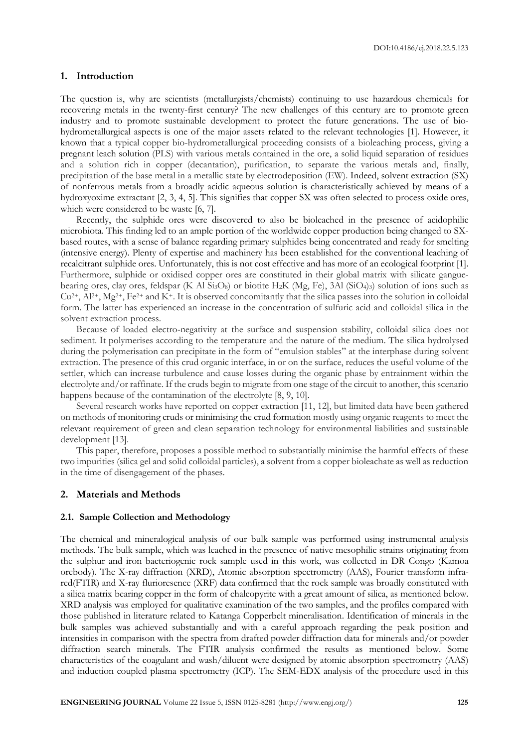## **1. Introduction**

The question is, why are scientists (metallurgists/chemists) continuing to use hazardous chemicals for recovering metals in the twenty-first century? The new challenges of this century are to promote green industry and to promote sustainable development to protect the future generations. The use of biohydrometallurgical aspects is one of the major assets related to the relevant technologies [1]. However, it known that a typical copper bio-hydrometallurgical proceeding consists of a bioleaching process, giving a pregnant leach solution (PLS) with various metals contained in the ore, a solid liquid separation of residues and a solution rich in copper (decantation), purification, to separate the various metals and, finally, precipitation of the base metal in a metallic state by electrodeposition (EW). Indeed, solvent extraction (SX) of nonferrous metals from a broadly acidic aqueous solution is characteristically achieved by means of a hydroxyoxime extractant [2, 3, 4, 5]. This signifies that copper SX was often selected to process oxide ores, which were considered to be waste [6, 7].

Recently, the sulphide ores were discovered to also be bioleached in the presence of acidophilic microbiota. This finding led to an ample portion of the worldwide copper production being changed to SXbased routes, with a sense of balance regarding primary sulphides being concentrated and ready for smelting (intensive energy). Plenty of expertise and machinery has been established for the conventional leaching of recalcitrant sulphide ores. Unfortunately, this is not cost effective and has more of an ecological footprint [1]. Furthermore, sulphide or oxidised copper ores are constituted in their global matrix with silicate ganguebearing ores, clay ores, feldspar (K Al Si<sub>3</sub>O<sub>8</sub>) or biotite H<sub>2</sub>K (Mg, Fe), 3Al (SiO<sub>4</sub>)<sub>3</sub>) solution of ions such as  $Cu^{2+}$ ,  $Al^{2+}$ ,  $Mg^{2+}$ , Fe<sup>2+</sup> and K<sup>+</sup>. It is observed concomitantly that the silica passes into the solution in colloidal form. The latter has experienced an increase in the concentration of sulfuric acid and colloidal silica in the solvent extraction process.

Because of loaded electro-negativity at the surface and suspension stability, colloidal silica does not sediment. It polymerises according to the temperature and the nature of the medium. The silica hydrolysed during the polymerisation can precipitate in the form of "emulsion stables" at the interphase during solvent extraction. The presence of this crud organic interface, in or on the surface, reduces the useful volume of the settler, which can increase turbulence and cause losses during the organic phase by entrainment within the electrolyte and/or raffinate. If the cruds begin to migrate from one stage of the circuit to another, this scenario happens because of the contamination of the electrolyte [8, 9, 10].

Several research works have reported on copper extraction [11, 12], but limited data have been gathered on methods of monitoring cruds or minimising the crud formation mostly using organic reagents to meet the relevant requirement of green and clean separation technology for environmental liabilities and sustainable development [13].

This paper, therefore, proposes a possible method to substantially minimise the harmful effects of these two impurities (silica gel and solid colloidal particles), a solvent from a copper bioleachate as well as reduction in the time of disengagement of the phases.

### **2. Materials and Methods**

#### **2.1. Sample Collection and Methodology**

The chemical and mineralogical analysis of our bulk sample was performed using instrumental analysis methods. The bulk sample, which was leached in the presence of native mesophilic strains originating from the sulphur and iron bacteriogenic rock sample used in this work, was collected in DR Congo (Kamoa orebody). The X-ray diffraction (XRD), Atomic absorption spectrometry (AAS), Fourier transform infrared(FTIR) and X-ray flurioresence (XRF) data confirmed that the rock sample was broadly constituted with a silica matrix bearing copper in the form of chalcopyrite with a great amount of silica, as mentioned below. XRD analysis was employed for qualitative examination of the two samples, and the profiles compared with those published in literature related to Katanga Copperbelt mineralisation. Identification of minerals in the bulk samples was achieved substantially and with a careful approach regarding the peak position and intensities in comparison with the spectra from drafted powder diffraction data for minerals and/or powder diffraction search minerals. The FTIR analysis confirmed the results as mentioned below. Some characteristics of the coagulant and wash/diluent were designed by atomic absorption spectrometry (AAS) and induction coupled plasma spectrometry (ICP). The SEM-EDX analysis of the procedure used in this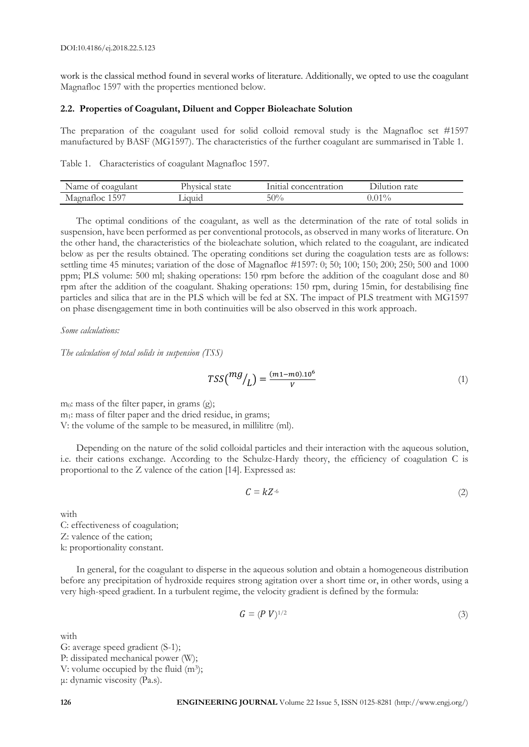work is the classical method found in several works of literature. Additionally, we opted to use the coagulant Magnafloc 1597 with the properties mentioned below.

#### **2.2. Properties of Coagulant, Diluent and Copper Bioleachate Solution**

The preparation of the coagulant used for solid colloid removal study is the Magnafloc set #1597 manufactured by BASF (MG1597). The characteristics of the further coagulant are summarised in Table 1.

Table 1. Characteristics of coagulant Magnafloc 1597.

| Name<br>coagulant<br>Οf                  | state<br>Physical | nitial<br>concentration | rate                 |
|------------------------------------------|-------------------|-------------------------|----------------------|
| $F \cap \overline{D}$<br>50<br>Magnatioc | _10u1d            | 50%                     | $\bigcap$ 10.<br>1.U |

The optimal conditions of the coagulant, as well as the determination of the rate of total solids in suspension, have been performed as per conventional protocols, as observed in many works of literature. On the other hand, the characteristics of the bioleachate solution, which related to the coagulant, are indicated below as per the results obtained. The operating conditions set during the coagulation tests are as follows: settling time 45 minutes; variation of the dose of Magnafloc #1597: 0; 50; 100; 150; 200; 250; 500 and 1000 ppm; PLS volume: 500 ml; shaking operations: 150 rpm before the addition of the coagulant dose and 80 rpm after the addition of the coagulant. Shaking operations: 150 rpm, during 15min, for destabilising fine particles and silica that are in the PLS which will be fed at SX. The impact of PLS treatment with MG1597 on phase disengagement time in both continuities will be also observed in this work approach.

*Some calculations:*

*The calculation of total solids in suspension (TSS)*

$$
TSS\binom{mg}{L} = \frac{(m1 - m0) \cdot 10^6}{V} \tag{1}
$$

m0: mass of the filter paper, in grams (g); m<sub>1</sub>: mass of filter paper and the dried residue, in grams; V: the volume of the sample to be measured, in millilitre (ml).

Depending on the nature of the solid colloidal particles and their interaction with the aqueous solution, i.e. their cations exchange. According to the Schulze-Hardy theory, the efficiency of coagulation C is proportional to the Z valence of the cation [14]. Expressed as:

$$
C = kZ^{-6} \tag{2}
$$

with C: effectiveness of coagulation; Z: valence of the cation; k: proportionality constant.

In general, for the coagulant to disperse in the aqueous solution and obtain a homogeneous distribution before any precipitation of hydroxide requires strong agitation over a short time or, in other words, using a very high-speed gradient. In a turbulent regime, the velocity gradient is defined by the formula:

$$
G = (P V)^{1/2} \tag{3}
$$

with G: average speed gradient (S-1); P: dissipated mechanical power (W); V: volume occupied by the fluid  $(m^3)$ ; μ: dynamic viscosity (Pa.s).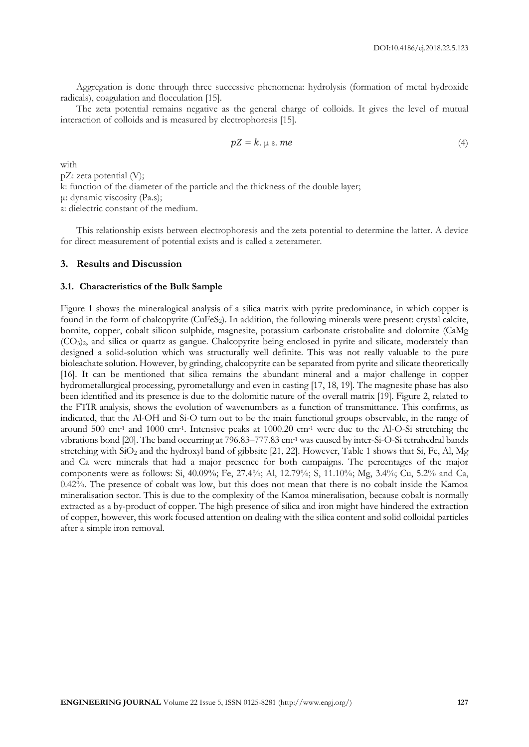Aggregation is done through three successive phenomena: hydrolysis (formation of metal hydroxide radicals), coagulation and flocculation [15].

The zeta potential remains negative as the general charge of colloids. It gives the level of mutual interaction of colloids and is measured by electrophoresis [15].

$$
pZ = k. \mu \varepsilon. \ me \tag{4}
$$

with

pZ: zeta potential (V);

k: function of the diameter of the particle and the thickness of the double layer;

μ: dynamic viscosity (Pa.s);

ε: dielectric constant of the medium.

This relationship exists between electrophoresis and the zeta potential to determine the latter. A device for direct measurement of potential exists and is called a zeterameter.

#### **3. Results and Discussion**

#### **3.1. Characteristics of the Bulk Sample**

Figure 1 shows the mineralogical analysis of a silica matrix with pyrite predominance, in which copper is found in the form of chalcopyrite (CuFeS2). In addition, the following minerals were present: crystal calcite, bornite, copper, cobalt silicon sulphide, magnesite, potassium carbonate cristobalite and dolomite (CaMg (CO3)2, and silica or quartz as gangue. Chalcopyrite being enclosed in pyrite and silicate, moderately than designed a solid-solution which was structurally well definite. This was not really valuable to the pure bioleachate solution. However, by grinding, chalcopyrite can be separated from pyrite and silicate theoretically [16]. It can be mentioned that silica remains the abundant mineral and a major challenge in copper hydrometallurgical processing, pyrometallurgy and even in casting [17, 18, 19]. The magnesite phase has also been identified and its presence is due to the dolomitic nature of the overall matrix [19]. Figure 2, related to the FTIR analysis, shows the evolution of wavenumbers as a function of transmittance. This confirms, as indicated, that the Al-OH and Si-O turn out to be the main functional groups observable, in the range of around 500 cm-1 and 1000 cm-1 . Intensive peaks at 1000.20 cm-1 were due to the Al-O-Si stretching the vibrations bond [20]. The band occurring at 796.83–777.83 cm-1 was caused by inter-Si-O-Si tetrahedral bands stretching with SiO<sub>2</sub> and the hydroxyl band of gibbsite [21, 22]. However, Table 1 shows that Si, Fe, Al, Mg and Ca were minerals that had a major presence for both campaigns. The percentages of the major components were as follows: Si, 40.09%; Fe, 27.4%; Al, 12.79%; S, 11.10%; Mg, 3.4%; Cu, 5.2% and Ca, 0.42%. The presence of cobalt was low, but this does not mean that there is no cobalt inside the Kamoa mineralisation sector. This is due to the complexity of the Kamoa mineralisation, because cobalt is normally extracted as a by-product of copper. The high presence of silica and iron might have hindered the extraction of copper, however, this work focused attention on dealing with the silica content and solid colloidal particles after a simple iron removal.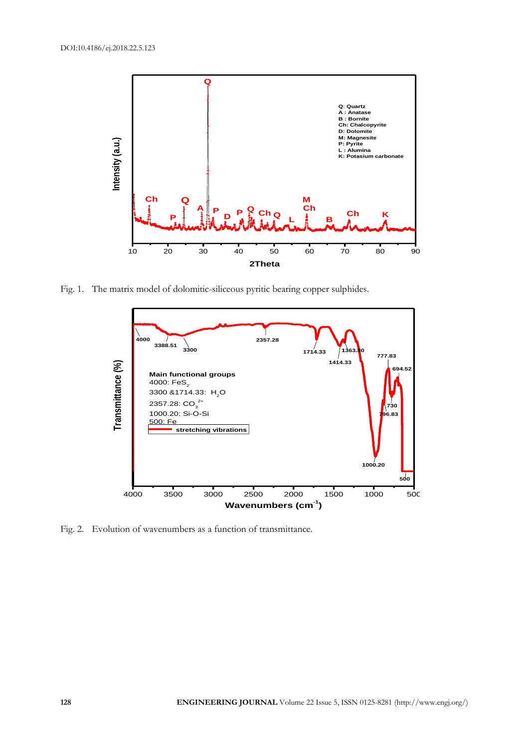

Fig. 1. The matrix model of dolomitic-siliceous pyritic bearing copper sulphides.



Fig. 2. Evolution of wavenumbers as a function of transmittance.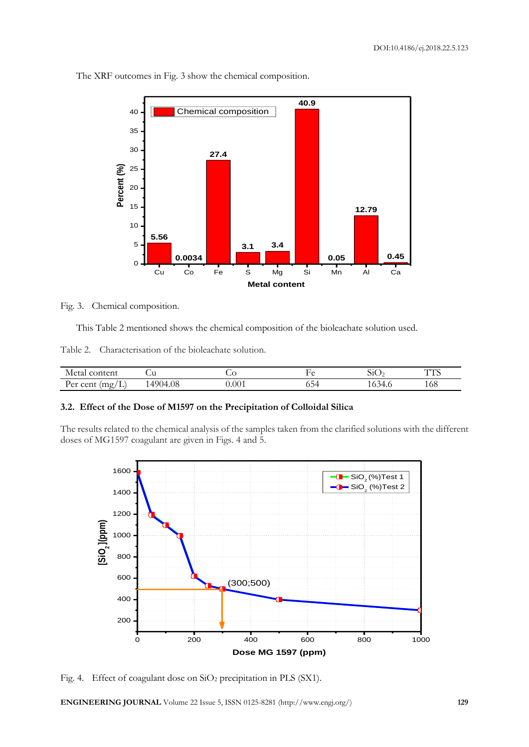

The XRF outcomes in Fig. 3 show the chemical composition.

Fig. 3. Chemical composition.

This Table 2 mentioned shows the chemical composition of the bioleachate solution used.

Table 2. Characterisation of the bioleachate solution.

| content<br>Metal                           | یں ر         | بخت   |    | $\rm SU$        | $\sqrt{1 + 1}$<br>. |
|--------------------------------------------|--------------|-------|----|-----------------|---------------------|
| cent<br>،mبn<br><u>ы.</u><br>$\sim$<br>. . | 4904<br>4.08 | 0.001 | ◡◡ | $\Delta$<br>T.V | 168                 |

# **3.2. Effect of the Dose of M1597 on the Precipitation of Colloidal Silica**

The results related to the chemical analysis of the samples taken from the clarified solutions with the different doses of MG1597 coagulant are given in Figs. 4 and 5.



Fig. 4. Effect of coagulant dose on SiO<sub>2</sub> precipitation in PLS (SX1).

**ENGINEERING JOURNAL** Volume 22 Issue 5, ISSN 0125-8281 (http://www.engj.org/) **129**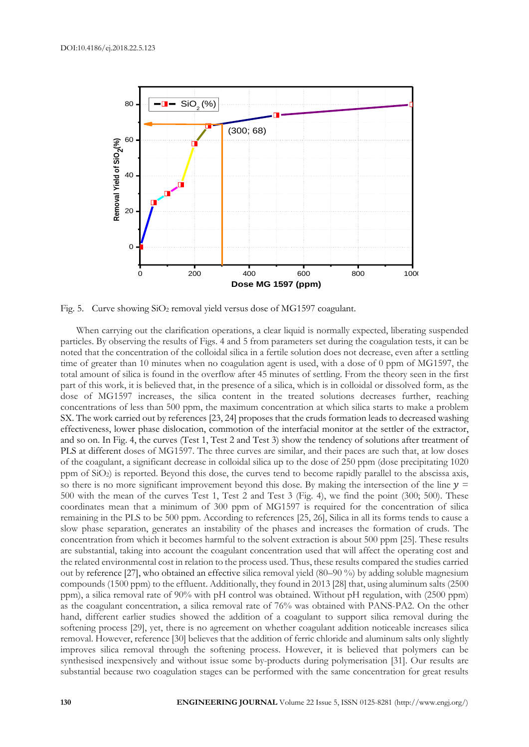

Fig. 5. Curve showing  $SiO<sub>2</sub>$  removal yield versus dose of MG1597 coagulant.

When carrying out the clarification operations, a clear liquid is normally expected, liberating suspended particles. By observing the results of Figs. 4 and 5 from parameters set during the coagulation tests, it can be noted that the concentration of the colloidal silica in a fertile solution does not decrease, even after a settling time of greater than 10 minutes when no coagulation agent is used, with a dose of 0 ppm of MG1597, the total amount of silica is found in the overflow after 45 minutes of settling. From the theory seen in the first part of this work, it is believed that, in the presence of a silica, which is in colloidal or dissolved form, as the dose of MG1597 increases, the silica content in the treated solutions decreases further, reaching concentrations of less than 500 ppm, the maximum concentration at which silica starts to make a problem SX. The work carried out by references [23, 24] proposes that the cruds formation leads to decreased washing effectiveness, lower phase dislocation, commotion of the interfacial monitor at the settler of the extractor, and so on. In Fig. 4, the curves (Test 1, Test 2 and Test 3) show the tendency of solutions after treatment of PLS at different doses of MG1597. The three curves are similar, and their paces are such that, at low doses of the coagulant, a significant decrease in colloidal silica up to the dose of 250 ppm (dose precipitating 1020 ppm of SiO2) is reported. Beyond this dose, the curves tend to become rapidly parallel to the abscissa axis, so there is no more significant improvement beyond this dose. By making the intersection of the line  $y =$ 500 with the mean of the curves Test 1, Test 2 and Test 3 (Fig. 4), we find the point (300; 500). These coordinates mean that a minimum of 300 ppm of MG1597 is required for the concentration of silica remaining in the PLS to be 500 ppm. According to references [25, 26], Silica in all its forms tends to cause a slow phase separation, generates an instability of the phases and increases the formation of cruds. The concentration from which it becomes harmful to the solvent extraction is about 500 ppm [25]. These results are substantial, taking into account the coagulant concentration used that will affect the operating cost and the related environmental cost in relation to the process used. Thus, these results compared the studies carried out by reference [27], who obtained an effective silica removal yield (80–90 %) by adding soluble magnesium compounds (1500 ppm) to the effluent. Additionally, they found in 2013 [28] that, using aluminum salts (2500 ppm), a silica removal rate of 90% with pH control was obtained. Without pH regulation, with (2500 ppm) as the coagulant concentration, a silica removal rate of 76% was obtained with PANS-PA2. On the other hand, different earlier studies showed the addition of a coagulant to support silica removal during the softening process [29], yet, there is no agreement on whether coagulant addition noticeable increases silica removal. However, reference [30] believes that the addition of ferric chloride and aluminum salts only slightly improves silica removal through the softening process. However, it is believed that polymers can be synthesised inexpensively and without issue some by-products during polymerisation [31]. Our results are substantial because two coagulation stages can be performed with the same concentration for great results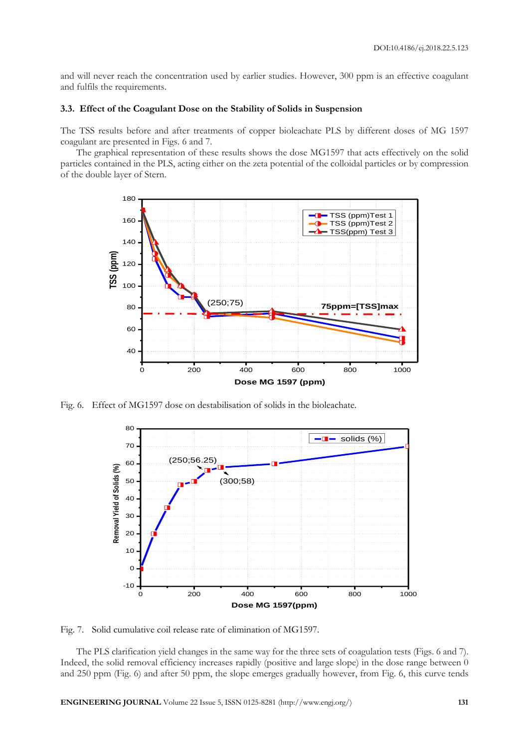and will never reach the concentration used by earlier studies. However, 300 ppm is an effective coagulant and fulfils the requirements.

#### **3.3. Effect of the Coagulant Dose on the Stability of Solids in Suspension**

The TSS results before and after treatments of copper bioleachate PLS by different doses of MG 1597 coagulant are presented in Figs. 6 and 7.

The graphical representation of these results shows the dose MG1597 that acts effectively on the solid particles contained in the PLS, acting either on the zeta potential of the colloidal particles or by compression of the double layer of Stern.



Fig. 6. Effect of MG1597 dose on destabilisation of solids in the bioleachate.



Fig. 7. Solid cumulative coil release rate of elimination of MG1597.

The PLS clarification yield changes in the same way for the three sets of coagulation tests (Figs. 6 and 7). Indeed, the solid removal efficiency increases rapidly (positive and large slope) in the dose range between 0 and 250 ppm (Fig. 6) and after 50 ppm, the slope emerges gradually however, from Fig. 6, this curve tends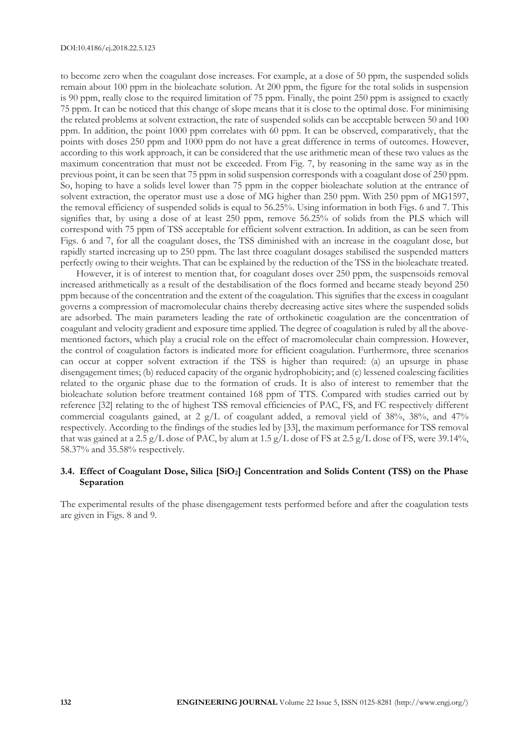to become zero when the coagulant dose increases. For example, at a dose of 50 ppm, the suspended solids remain about 100 ppm in the bioleachate solution. At 200 ppm, the figure for the total solids in suspension is 90 ppm, really close to the required limitation of 75 ppm. Finally, the point 250 ppm is assigned to exactly 75 ppm. It can be noticed that this change of slope means that it is close to the optimal dose. For minimising the related problems at solvent extraction, the rate of suspended solids can be acceptable between 50 and 100 ppm. In addition, the point 1000 ppm correlates with 60 ppm. It can be observed, comparatively, that the points with doses 250 ppm and 1000 ppm do not have a great difference in terms of outcomes. However, according to this work approach, it can be considered that the use arithmetic mean of these two values as the maximum concentration that must not be exceeded. From Fig. 7, by reasoning in the same way as in the previous point, it can be seen that 75 ppm in solid suspension corresponds with a coagulant dose of 250 ppm. So, hoping to have a solids level lower than 75 ppm in the copper bioleachate solution at the entrance of solvent extraction, the operator must use a dose of MG higher than 250 ppm. With 250 ppm of MG1597, the removal efficiency of suspended solids is equal to 56.25%. Using information in both Figs. 6 and 7. This signifies that, by using a dose of at least 250 ppm, remove 56.25% of solids from the PLS which will correspond with 75 ppm of TSS acceptable for efficient solvent extraction. In addition, as can be seen from Figs. 6 and 7, for all the coagulant doses, the TSS diminished with an increase in the coagulant dose, but rapidly started increasing up to 250 ppm. The last three coagulant dosages stabilised the suspended matters perfectly owing to their weights. That can be explained by the reduction of the TSS in the bioleachate treated.

However, it is of interest to mention that, for coagulant doses over 250 ppm, the suspensoids removal increased arithmetically as a result of the destabilisation of the flocs formed and became steady beyond 250 ppm because of the concentration and the extent of the coagulation. This signifies that the excess in coagulant governs a compression of macromolecular chains thereby decreasing active sites where the suspended solids are adsorbed. The main parameters leading the rate of orthokinetic coagulation are the concentration of coagulant and velocity gradient and exposure time applied. The degree of coagulation is ruled by all the abovementioned factors, which play a crucial role on the effect of macromolecular chain compression. However, the control of coagulation factors is indicated more for efficient coagulation. Furthermore, three scenarios can occur at copper solvent extraction if the TSS is higher than required: (a) an upsurge in phase disengagement times; (b) reduced capacity of the organic hydrophobicity; and (c) lessened coalescing facilities related to the organic phase due to the formation of cruds. It is also of interest to remember that the bioleachate solution before treatment contained 168 ppm of TTS. Compared with studies carried out by reference [32] relating to the of highest TSS removal efficiencies of PAC, FS, and FC respectively different commercial coagulants gained, at 2 g/L of coagulant added, a removal yield of 38%, 38%, and 47% respectively. According to the findings of the studies led by [33], the maximum performance for TSS removal that was gained at a 2.5 g/L dose of PAC, by alum at 1.5 g/L dose of FS at 2.5 g/L dose of FS, were 39.14%, 58.37% and 35.58% respectively.

# **3.4. Effect of Coagulant Dose, Silica [SiO2] Concentration and Solids Content (TSS) on the Phase Separation**

The experimental results of the phase disengagement tests performed before and after the coagulation tests are given in Figs. 8 and 9.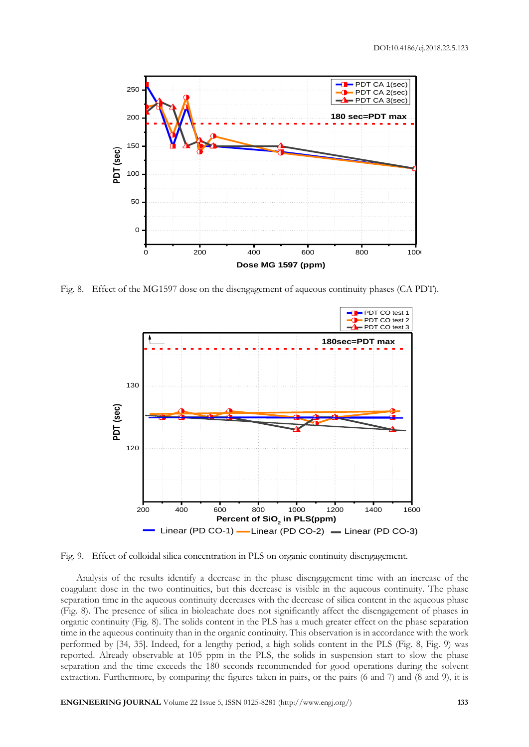

Fig. 8. Effect of the MG1597 dose on the disengagement of aqueous continuity phases (CA PDT).



Fig. 9. Effect of colloidal silica concentration in PLS on organic continuity disengagement.

Analysis of the results identify a decrease in the phase disengagement time with an increase of the coagulant dose in the two continuities, but this decrease is visible in the aqueous continuity. The phase separation time in the aqueous continuity decreases with the decrease of silica content in the aqueous phase (Fig. 8). The presence of silica in bioleachate does not significantly affect the disengagement of phases in organic continuity (Fig. 8). The solids content in the PLS has a much greater effect on the phase separation time in the aqueous continuity than in the organic continuity. This observation is in accordance with the work performed by [34, 35]. Indeed, for a lengthy period, a high solids content in the PLS (Fig. 8, Fig. 9) was reported. Already observable at 105 ppm in the PLS, the solids in suspension start to slow the phase separation and the time exceeds the 180 seconds recommended for good operations during the solvent extraction. Furthermore, by comparing the figures taken in pairs, or the pairs (6 and 7) and (8 and 9), it is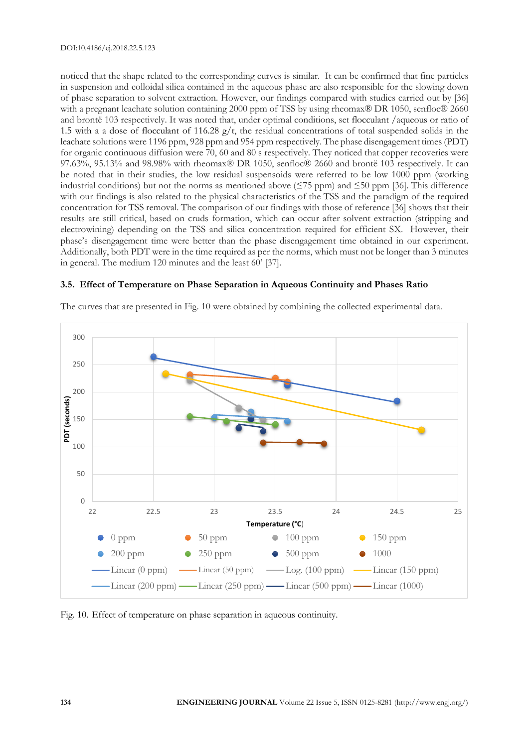noticed that the shape related to the corresponding curves is similar. It can be confirmed that fine particles in suspension and colloidal silica contained in the aqueous phase are also responsible for the slowing down of phase separation to solvent extraction. However, our findings compared with studies carried out by [36] with a pregnant leachate solution containing 2000 ppm of TSS by using rheomax® DR 1050, senfloc® 2660 and brontë 103 respectively. It was noted that, under optimal conditions, set flocculant /aqueous or ratio of 1.5 with a a dose of flocculant of 116.28 g/t, the residual concentrations of total suspended solids in the leachate solutions were 1196 ppm, 928 ppm and 954 ppm respectively. The phase disengagement times (PDT) for organic continuous diffusion were 70, 60 and 80 s respectively. They noticed that copper recoveries were 97.63%, 95.13% and 98.98% with rheomax® DR 1050, senfloc® 2660 and brontë 103 respectively. It can be noted that in their studies, the low residual suspensoids were referred to be low 1000 ppm (working industrial conditions) but not the norms as mentioned above ( $\leq$ 75 ppm) and  $\leq$ 50 ppm [36]. This difference with our findings is also related to the physical characteristics of the TSS and the paradigm of the required concentration for TSS removal. The comparison of our findings with those of reference [36] shows that their results are still critical, based on cruds formation, which can occur after solvent extraction (stripping and electrowining) depending on the TSS and silica concentration required for efficient SX. However, their phase's disengagement time were better than the phase disengagement time obtained in our experiment. Additionally, both PDT were in the time required as per the norms, which must not be longer than 3 minutes in general. The medium 120 minutes and the least 60' [37].

# **3.5. Effect of Temperature on Phase Separation in Aqueous Continuity and Phases Ratio**





Fig. 10. Effect of temperature on phase separation in aqueous continuity.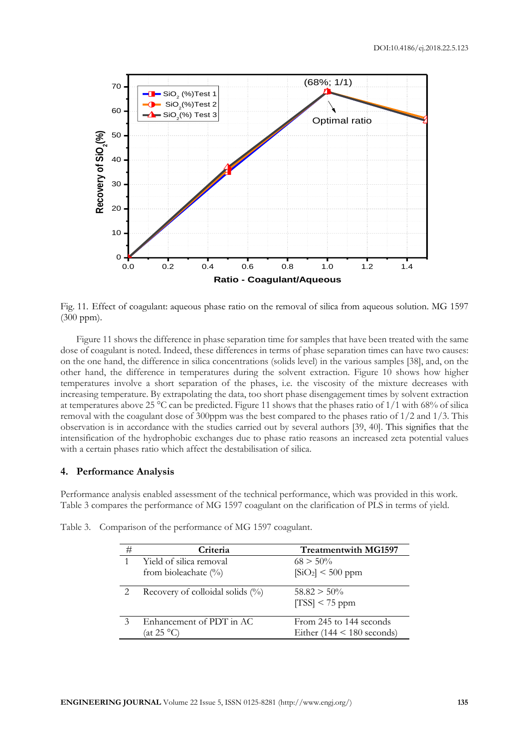

Fig. 11. Effect of coagulant: aqueous phase ratio on the removal of silica from aqueous solution. MG 1597 (300 ppm).

Figure 11 shows the difference in phase separation time for samples that have been treated with the same dose of coagulant is noted. Indeed, these differences in terms of phase separation times can have two causes: on the one hand, the difference in silica concentrations (solids level) in the various samples [38], and, on the other hand, the difference in temperatures during the solvent extraction. Figure 10 shows how higher temperatures involve a short separation of the phases, i.e. the viscosity of the mixture decreases with increasing temperature. By extrapolating the data, too short phase disengagement times by solvent extraction at temperatures above 25 °C can be predicted. Figure 11 shows that the phases ratio of  $1/1$  with 68% of silica removal with the coagulant dose of 300ppm was the best compared to the phases ratio of 1/2 and 1/3. This observation is in accordance with the studies carried out by several authors [39, 40]. This signifies that the intensification of the hydrophobic exchanges due to phase ratio reasons an increased zeta potential values with a certain phases ratio which affect the destabilisation of silica.

# **4. Performance Analysis**

Performance analysis enabled assessment of the technical performance, which was provided in this work. Table 3 compares the performance of MG 1597 coagulant on the clarification of PLS in terms of yield.

| #             | Criteria                            | <b>Treatmentwith MG1597</b>    |
|---------------|-------------------------------------|--------------------------------|
| 1             | Yield of silica removal             | $68 > 50\%$                    |
|               | from bioleachate $(\%)$             | $[SiO_2]$ < 500 ppm            |
|               | Recovery of colloidal solids $(\%)$ | $58.82 > 50\%$                 |
|               |                                     | $[TSS]$ < 75 ppm               |
| $\mathcal{Z}$ | Enhancement of PDT in AC            | From 245 to 144 seconds        |
|               | (at 25 °C                           | Either $(144 \le 180$ seconds) |

Table 3. Comparison of the performance of MG 1597 coagulant.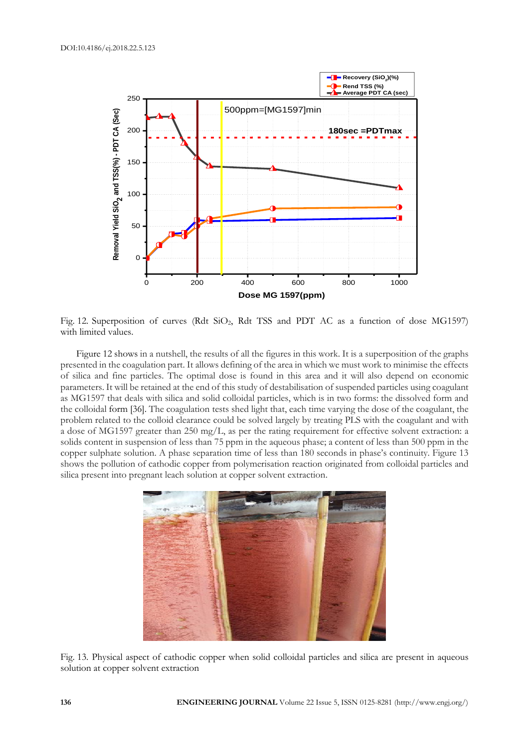

Fig. 12. Superposition of curves (Rdt SiO2, Rdt TSS and PDT AC as a function of dose MG1597) with limited values.

Figure 12 shows in a nutshell, the results of all the figures in this work. It is a superposition of the graphs presented in the coagulation part. It allows defining of the area in which we must work to minimise the effects of silica and fine particles. The optimal dose is found in this area and it will also depend on economic parameters. It will be retained at the end of this study of destabilisation of suspended particles using coagulant as MG1597 that deals with silica and solid colloidal particles, which is in two forms: the dissolved form and the colloidal form [36]. The coagulation tests shed light that, each time varying the dose of the coagulant, the problem related to the colloid clearance could be solved largely by treating PLS with the coagulant and with a dose of MG1597 greater than 250 mg/L, as per the rating requirement for effective solvent extraction: a solids content in suspension of less than 75 ppm in the aqueous phase; a content of less than 500 ppm in the copper sulphate solution. A phase separation time of less than 180 seconds in phase's continuity. Figure 13 shows the pollution of cathodic copper from polymerisation reaction originated from colloidal particles and silica present into pregnant leach solution at copper solvent extraction.



Fig. 13. Physical aspect of cathodic copper when solid colloidal particles and silica are present in aqueous solution at copper solvent extraction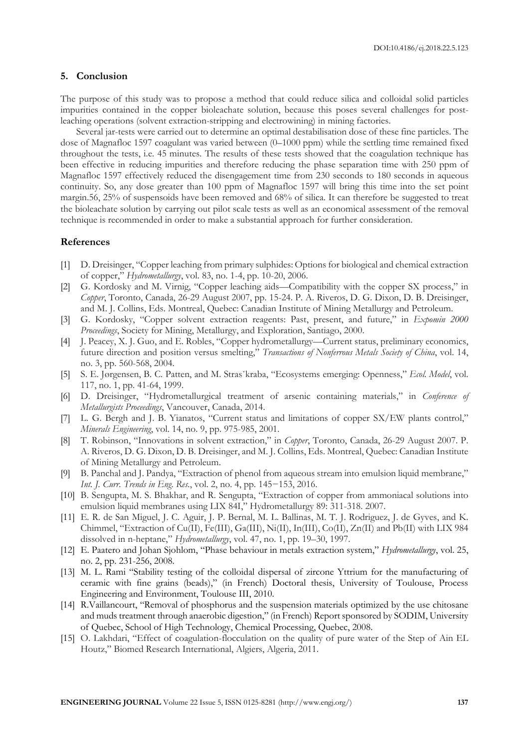#### **5. Conclusion**

The purpose of this study was to propose a method that could reduce silica and colloidal solid particles impurities contained in the copper bioleachate solution, because this poses several challenges for postleaching operations (solvent extraction-stripping and electrowining) in mining factories.

Several jar-tests were carried out to determine an optimal destabilisation dose of these fine particles. The dose of Magnafloc 1597 coagulant was varied between (0–1000 ppm) while the settling time remained fixed throughout the tests, i.e. 45 minutes. The results of these tests showed that the coagulation technique has been effective in reducing impurities and therefore reducing the phase separation time with 250 ppm of Magnafloc 1597 effectively reduced the disengagement time from 230 seconds to 180 seconds in aqueous continuity. So, any dose greater than 100 ppm of Magnafloc 1597 will bring this time into the set point margin.56, 25% of suspensoids have been removed and 68% of silica. It can therefore be suggested to treat the bioleachate solution by carrying out pilot scale tests as well as an economical assessment of the removal technique is recommended in order to make a substantial approach for further consideration.

#### **References**

- [1] D. Dreisinger, "Copper leaching from primary sulphides: Options for biological and chemical extraction of copper," *Hydrometallurgy*, vol. 83, no. 1-4, pp. 10-20, 2006.
- [2] G. Kordosky and M. Virnig, "Copper leaching aids—Compatibility with the copper SX process," in *Copper*, Toronto, Canada, 26-29 August 2007, pp. 15-24. P. A. Riveros, D. G. Dixon, D. B. Dreisinger, and M. J. Collins, Eds. Montreal, Quebec: Canadian Institute of Mining Metallurgy and Petroleum.
- [3] G. Kordosky, "Copper solvent extraction reagents: Past, present, and future," in *Expomin 2000 Proceedings*, Society for Mining, Metallurgy, and Exploration, Santiago, 2000.
- [4] J. Peacey, X. J. Guo, and E. Robles, "Copper hydrometallurgy—Current status, preliminary economics, future direction and position versus smelting," *Transactions of Nonferrous Metals Society of China*, vol. 14, no. 3, pp. 560-568, 2004.
- [5] S. E. Jørgensen, B. C. Patten, and M. Strasˇkraba, "Ecosystems emerging: Openness," *Ecol. Model*, vol. 117, no. 1, pp. 41-64, 1999.
- [6] D. Dreisinger, "Hydrometallurgical treatment of arsenic containing materials," in *Conference of Metallurgists Proceedings*, Vancouver, Canada, 2014.
- [7] L. G. Bergh and J. B. Yianatos, "Current status and limitations of copper SX/EW plants control," *Minerals Engineering*, vol. 14, no. 9, pp. 975-985, 2001.
- [8] T. Robinson, "Innovations in solvent extraction," in *Copper*, Toronto, Canada, 26-29 August 2007. P. A. Riveros, D. G. Dixon, D. B. Dreisinger, and M. J. Collins, Eds. Montreal, Quebec: Canadian Institute of Mining Metallurgy and Petroleum.
- [9] B. Panchal and J. Pandya, "Extraction of phenol from aqueous stream into emulsion liquid membrane," *Int. J. Curr. Trends in Eng. Res.*, vol. 2, no. 4, pp. 145−153, 2016.
- [10] B. Sengupta, M. S. Bhakhar, and R. Sengupta, "Extraction of copper from ammoniacal solutions into emulsion liquid membranes using LIX 84I," Hydrometallurgy 89: 311-318. 2007.
- [11] E. R. de San Miguel, J. C. Aguir, J. P. Bernal, M. L. Ballinas, M. T. J. Rodriguez, J. de Gyves, and K. Chimmel, "Extraction of Cu(II), Fe(III), Ga(III), Ni(II), In(III), Co(II), Zn(II) and Pb(II) with LIX 984 dissolved in n-heptane," *Hydrometallurgy*, vol. 47, no. 1, pp. 19–30, 1997.
- [12] E. Paatero and Johan Sjohlom, "Phase behaviour in metals extraction system," *Hydrometallurgy*, vol. 25, no. 2, pp. 231-256, 2008.
- [13] M. L. Rami "Stability testing of the colloidal dispersal of zircone Yttrium for the manufacturing of ceramic with fine grains (beads)," (in French) Doctoral thesis, University of Toulouse, Process Engineering and Environment, Toulouse III, 2010.
- [14] R.Vaillancourt, "Removal of phosphorus and the suspension materials optimized by the use chitosane and muds treatment through anaerobic digestion," (in French) Report sponsored by SODIM, University of Quebec, School of High Technology, Chemical Processing, Quebec, 2008.
- [15] O. Lakhdari, "Effect of coagulation-flocculation on the quality of pure water of the Step of Ain EL Houtz," Biomed Research International, Algiers, Algeria, 2011.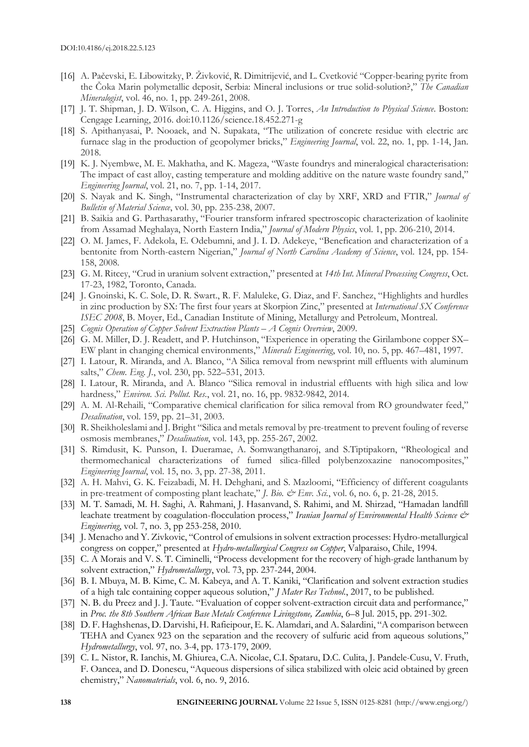- [16] A. Pačevski, E. Libowitzky, P. Živković, R. Dimitrijević, and L. Cvetković "Copper-bearing pyrite from the Čoka Marin polymetallic deposit, Serbia: Mineral inclusions or true solid-solution?," *The Canadian Mineralogist*, vol. 46, no. 1, pp. 249-261, 2008.
- [17] J. T. Shipman, J. D. Wilson, C. A. Higgins, and O. J. Torres, *An Introduction to Physical Science*. Boston: Cengage Learning, 2016. doi:10.1126/science.18.452.271-g
- [18] S. Apithanyasai, P. Nooaek, and N. Supakata, "The utilization of concrete residue with electric arc furnace slag in the production of geopolymer bricks," *Engineering Journal*, vol. 22, no. 1, pp. 1-14, Jan. 2018.
- [19] K. J. Nyembwe, M. E. Makhatha, and K. Mageza, "Waste foundrys and mineralogical characterisation: The impact of cast alloy, casting temperature and molding additive on the nature waste foundry sand," *Engineering Journal*, vol. 21, no. 7, pp. 1-14, 2017.
- [20] S. Nayak and K. Singh, "Instrumental characterization of clay by XRF, XRD and FTIR," *Journal of Bulletin of Material Science*, vol. 30, pp. 235-238, 2007.
- [21] B. Saikia and G. Parthasarathy, "Fourier transform infrared spectroscopic characterization of kaolinite from Assamad Meghalaya, North Eastern India," *Journal of Modern Physics*, vol. 1, pp. 206-210, 2014.
- [22] O. M. James, F. Adekola, E. Odebumni, and J. I. D. Adekeye, "Benefication and characterization of a bentonite from North-eastern Nigerian," *Journal of North Carolina Academy of Science*, vol. 124, pp. 154- 158, 2008.
- [23] G. M. Ritcey, "Crud in uranium solvent extraction," presented at *14th Int. Mineral Processing Congress*, Oct. 17-23, 1982, Toronto, Canada.
- [24] J. Gnoinski, K. C. Sole, D. R. Swart., R. F. Maluleke, G. Diaz, and F. Sanchez, "Highlights and hurdles in zinc production by SX: The first four years at Skorpion Zinc," presented at *International SX Conference ISEC 2008*, B. Moyer, Ed., Canadian Institute of Mining, Metallurgy and Petroleum, Montreal.
- [25] *Cognis Operation of Copper Solvent Extraction Plants – A Cognis Overview*, 2009.
- [26] G. M. Miller, D. J. Readett, and P. Hutchinson, "Experience in operating the Girilambone copper SX– EW plant in changing chemical environments," *Minerals Engineering*, vol. 10, no. 5, pp. 467–481, 1997.
- [27] I. Latour, R. Miranda, and A. Blanco, "A Silica removal from newsprint mill effluents with aluminum salts," *Chem. Eng. J.*, vol. 230, pp. 522–531, 2013.
- [28] I. Latour, R. Miranda, and A. Blanco "Silica removal in industrial effluents with high silica and low hardness," *Environ. Sci. Pollut. Res.*, vol. 21, no. 16, pp. 9832-9842, 2014.
- [29] A. M. Al-Rehaili, "Comparative chemical clarification for silica removal from RO groundwater feed," *Desalination*, vol. 159, pp. 21–31, 2003.
- [30] R. Sheikholeslami and J. Bright "Silica and metals removal by pre-treatment to prevent fouling of reverse osmosis membranes," *Desalination*, vol. 143, pp. 255-267, 2002.
- [31] S. Rimdusit, K. Punson, I. Dueramae, A. Somwangthanaroj, and S.Tiptipakorn, "Rheological and thermomechanical characterizations of fumed silica-filled polybenzoxazine nanocomposites," *Engineering Journal*, vol. 15, no. 3, pp. 27-38, 2011.
- [32] A. H. Mahvi, G. K. Feizabadi, M. H. Dehghani, and S. Mazloomi, "Efficiency of different coagulants in pre-treatment of composting plant leachate," *J. Bio.*  $\mathcal{O}^E E n v$ . Sci., vol. 6, no. 6, p. 21-28, 2015.
- [33] M. T. Samadi, M. H. Saghi, A. Rahmani, J. Hasanvand, S. Rahimi, and M. Shirzad, "Hamadan landfill leachate treatment by coagulation-flocculation process," *Iranian Journal of Environmental Health Science & Engineering*, vol. 7, no. 3, pp 253-258, 2010.
- [34] J. Menacho and Y. Zivkovic, "Control of emulsions in solvent extraction processes: Hydro-metallurgical congress on copper," presented at *Hydro-metallurgical Congress on Copper*, Valparaiso, Chile, 1994.
- [35] C. A Morais and V. S. T. Ciminelli, "Process development for the recovery of high-grade lanthanum by solvent extraction," *Hydrometallurgy*, vol. 73, pp. 237-244, 2004.
- [36] B. I. Mbuya, M. B. Kime, C. M. Kabeya, and A. T. Kaniki, "Clarification and solvent extraction studies of a high talc containing copper aqueous solution," *J Mater Res Technol.*, 2017, to be published.
- [37] N. B. du Preez and J. J. Taute. "Evaluation of copper solvent-extraction circuit data and performance," in *Proc. the 8th Southern African Base Metals Conference Livingstone, Zambia*, 6–8 Jul. 2015, pp. 291-302.
- [38] D. F. Haghshenas, D. Darvishi, H. Rafieipour, E. K. Alamdari, and A. Salardini, "A comparison between TEHA and Cyanex 923 on the separation and the recovery of sulfuric acid from aqueous solutions," *Hydrometallurgy*, vol. 97, no. 3-4, pp. 173-179, 2009.
- [39] C. L. Nistor, R. Ianchis, M. Ghiurea, C.A. Nicolae, C.I. Spataru, D.C. Culita, J. Pandele-Cusu, V. Fruth, F. Oancea, and D. Donescu, "Aqueous dispersions of silica stabilized with oleic acid obtained by green chemistry," *Nanomaterials*, vol. 6, no. 9, 2016.